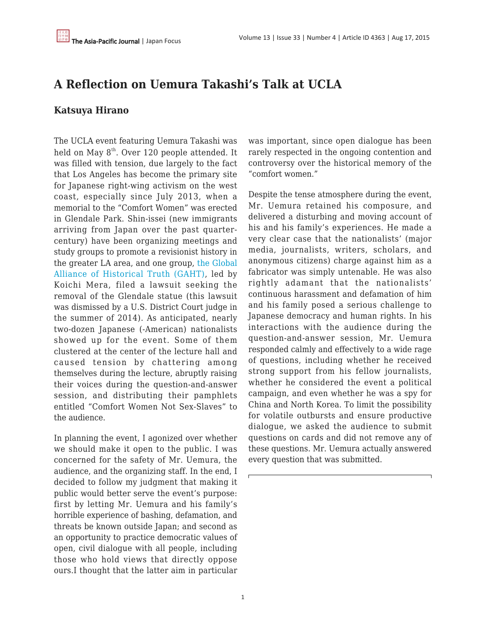## **A Reflection on Uemura Takashi's Talk at UCLA**

## **Katsuya Hirano**

The UCLA event featuring Uemura Takashi was held on May  $8<sup>th</sup>$ . Over 120 people attended. It was filled with tension, due largely to the fact that Los Angeles has become the primary site for Japanese right-wing activism on the west coast, especially since July 2013, when a memorial to the "Comfort Women" was erected in Glendale Park. Shin-issei (new immigrants arriving from Japan over the past quartercentury) have been organizing meetings and study groups to promote a revisionist history in the greater LA area, and one group, [the Global](https://gahtjp.org/) [Alliance of Historical Truth \(GAHT\)](https://gahtjp.org/), led by Koichi Mera, filed a lawsuit seeking the removal of the Glendale statue (this lawsuit was dismissed by a U.S. District Court judge in the summer of 2014). As anticipated, nearly two-dozen Japanese (-American) nationalists showed up for the event. Some of them clustered at the center of the lecture hall and caused tension by chattering among themselves during the lecture, abruptly raising their voices during the question-and-answer session, and distributing their pamphlets entitled "Comfort Women Not Sex-Slaves" to the audience.

In planning the event, I agonized over whether we should make it open to the public. I was concerned for the safety of Mr. Uemura, the audience, and the organizing staff. In the end, I decided to follow my judgment that making it public would better serve the event's purpose: first by letting Mr. Uemura and his family's horrible experience of bashing, defamation, and threats be known outside Japan; and second as an opportunity to practice democratic values of open, civil dialogue with all people, including those who hold views that directly oppose ours.I thought that the latter aim in particular was important, since open dialogue has been rarely respected in the ongoing contention and controversy over the historical memory of the "comfort women."

Despite the tense atmosphere during the event, Mr. Uemura retained his composure, and delivered a disturbing and moving account of his and his family's experiences. He made a very clear case that the nationalists' (major media, journalists, writers, scholars, and anonymous citizens) charge against him as a fabricator was simply untenable. He was also rightly adamant that the nationalists' continuous harassment and defamation of him and his family posed a serious challenge to Japanese democracy and human rights. In his interactions with the audience during the question-and-answer session, Mr. Uemura responded calmly and effectively to a wide rage of questions, including whether he received strong support from his fellow journalists, whether he considered the event a political campaign, and even whether he was a spy for China and North Korea. To limit the possibility for volatile outbursts and ensure productive dialogue, we asked the audience to submit questions on cards and did not remove any of these questions. Mr. Uemura actually answered every question that was submitted.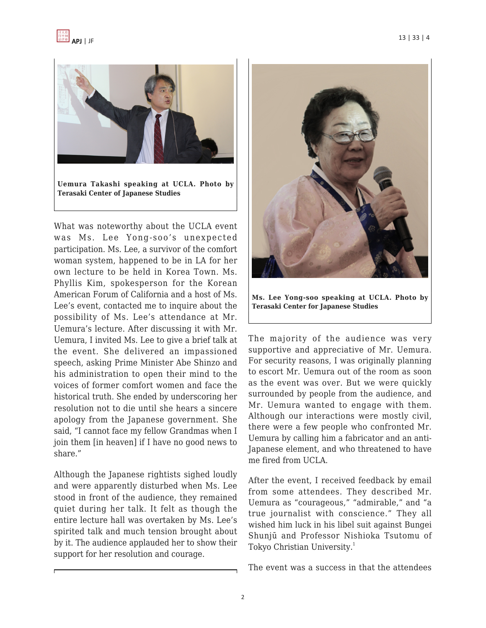



What was noteworthy about the UCLA event was Ms. Lee Yong-soo's unexpected participation. Ms. Lee, a survivor of the comfort woman system, happened to be in LA for her own lecture to be held in Korea Town. Ms. Phyllis Kim, spokesperson for the Korean American Forum of California and a host of Ms. Lee's event, contacted me to inquire about the possibility of Ms. Lee's attendance at Mr. Uemura's lecture. After discussing it with Mr. Uemura, I invited Ms. Lee to give a brief talk at the event. She delivered an impassioned speech, asking Prime Minister Abe Shinzo and his administration to open their mind to the voices of former comfort women and face the historical truth. She ended by underscoring her resolution not to die until she hears a sincere apology from the Japanese government. She said, "I cannot face my fellow Grandmas when I join them [in heaven] if I have no good news to share."

Although the Japanese rightists sighed loudly and were apparently disturbed when Ms. Lee stood in front of the audience, they remained quiet during her talk. It felt as though the entire lecture hall was overtaken by Ms. Lee's spirited talk and much tension brought about by it. The audience applauded her to show their support for her resolution and courage.



**Ms. Lee Yong-soo speaking at UCLA. Photo by Terasaki Center for Japanese Studies**

The majority of the audience was very supportive and appreciative of Mr. Uemura. For security reasons, I was originally planning to escort Mr. Uemura out of the room as soon as the event was over. But we were quickly surrounded by people from the audience, and Mr. Uemura wanted to engage with them. Although our interactions were mostly civil, there were a few people who confronted Mr. Uemura by calling him a fabricator and an anti-Japanese element, and who threatened to have me fired from UCLA.

After the event, I received feedback by email from some attendees. They described Mr. Uemura as "courageous," "admirable," and "a true journalist with conscience." They all wished him luck in his libel suit against Bungei Shunjū and Professor Nishioka Tsutomu of Tokyo Christian University.<sup>1</sup>

The event was a success in that the attendees